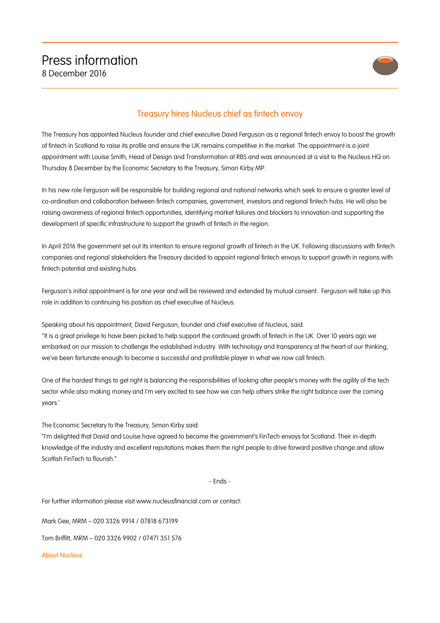

## Treasury hires Nucleus chief as fintech envoy

The Treasury has appointed Nucleus founder and chief executive David Ferguson as a regional fintech envoy to boost the growth of fintech in Scotland to raise its profile and ensure the UK remains competitive in the market. The appointment is a joint appointment with Louise Smith, Head of Design and Transformation at RBS and was announced at a visit to the Nucleus HQ on Thursday 8 December by the Economic Secretary to the Treasury, Simon Kirby MP.

In his new role Ferguson will be responsible for building regional and national networks which seek to ensure a greater level of co-ordination and collaboration between fintech companies, government, investors and regional fintech hubs. He will also be raising awareness of regional fintech opportunities, identifying market failures and blockers to innovation and supporting the development of specific infrastructure to support the growth of fintech in the region.

In April 2016 the government set out its intention to ensure regional growth of fintech in the UK. Following discussions with fintech companies and regional stakeholders the Treasury decided to appoint regional fintech envoys to support growth in regions with fintech potential and existing hubs.

Ferguson's initial appointment is for one year and will be reviewed and extended by mutual consent. Ferguson will take up this role in addition to continuing his position as chief executive of Nucleus.

Speaking about his appointment, David Ferguson, founder and chief executive of Nucleus, said:

''It is a great privilege to have been picked to help support the continued growth of fintech in the UK. Over 10 years ago we embarked on our mission to challenge the established industry. With technology and transparency at the heart of our thinking, we've been fortunate enough to become a successful and profitable player in what we now call fintech.

One of the hardest things to get right is balancing the responsibilities of looking after people's money with the agility of the tech sector while also making money and I'm very excited to see how we can help others strike the right balance over the coming years.'

The Economic Secretary to the Treasury, Simon Kirby said:

"I'm delighted that David and Louise have agreed to become the government's FinTech envoys for Scotland. Their in-depth knowledge of the industry and excellent reputations makes them the right people to drive forward positive change and allow Scottish FinTech to flourish"

- Ends -

For further information please visit www.nucleusfinancial.com or contact:

Mark Gee, MRM – 020 3326 9914 / 07818 673199

Tom Briffitt, MRM – 020 3326 9902 / 07471 351 576

About Nucleus